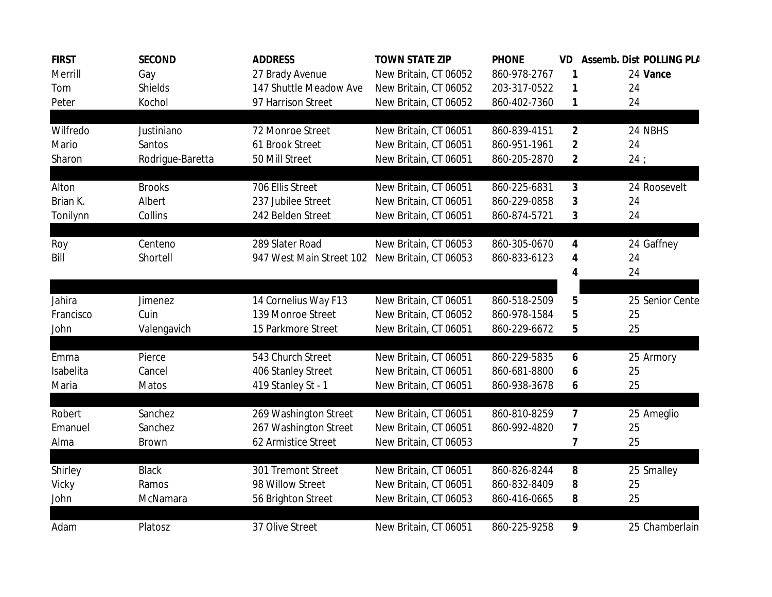| <b>FIRST</b> | <b>SECOND</b>    | <b>ADDRESS</b>           | <b>TOWN STATE ZIP</b> | <b>PHONE</b> | VD.            | Assemb. Dist POLLING PLA |                 |
|--------------|------------------|--------------------------|-----------------------|--------------|----------------|--------------------------|-----------------|
| Merrill      | Gay              | 27 Brady Avenue          | New Britain, CT 06052 | 860-978-2767 | 1              |                          | 24 Vance        |
| Tom          | <b>Shields</b>   | 147 Shuttle Meadow Ave   | New Britain, CT 06052 | 203-317-0522 | 1              | 24                       |                 |
| Peter        | Kochol           | 97 Harrison Street       | New Britain, CT 06052 | 860-402-7360 | 1              | 24                       |                 |
|              |                  |                          |                       |              |                |                          |                 |
| Wilfredo     | Justiniano       | 72 Monroe Street         | New Britain, CT 06051 | 860-839-4151 | $\overline{2}$ |                          | 24 NBHS         |
| Mario        | Santos           | 61 Brook Street          | New Britain, CT 06051 | 860-951-1961 | $\overline{2}$ | 24                       |                 |
| Sharon       | Rodrigue-Baretta | 50 Mill Street           | New Britain, CT 06051 | 860-205-2870 | $\mathbf{2}$   | 24:                      |                 |
| Alton        | <b>Brooks</b>    | 706 Ellis Street         | New Britain, CT 06051 | 860-225-6831 | $\mathbf{3}$   |                          | 24 Roosevelt    |
| Brian K.     | Albert           | 237 Jubilee Street       | New Britain, CT 06051 | 860-229-0858 | 3              | 24                       |                 |
| Tonilynn     | Collins          | 242 Belden Street        | New Britain, CT 06051 | 860-874-5721 | 3              | 24                       |                 |
|              |                  |                          |                       |              |                |                          |                 |
| Roy          | Centeno          | 289 Slater Road          | New Britain, CT 06053 | 860-305-0670 | 4              |                          | 24 Gaffney      |
| Bill         | Shortell         | 947 West Main Street 102 | New Britain, CT 06053 | 860-833-6123 | 4              | 24                       |                 |
|              |                  |                          |                       |              | 4              | 24                       |                 |
|              |                  |                          |                       |              |                |                          |                 |
| Jahira       | Jimenez          | 14 Cornelius Way F13     | New Britain, CT 06051 | 860-518-2509 | 5              |                          | 25 Senior Cente |
| Francisco    | Cuin             | 139 Monroe Street        | New Britain, CT 06052 | 860-978-1584 | 5              | 25                       |                 |
| John         | Valengavich      | 15 Parkmore Street       | New Britain, CT 06051 | 860-229-6672 | 5              | 25                       |                 |
| Emma         | Pierce           | 543 Church Street        | New Britain, CT 06051 | 860-229-5835 | 6              |                          | 25 Armory       |
| Isabelita    | Cancel           | 406 Stanley Street       | New Britain, CT 06051 | 860-681-8800 | 6              | 25                       |                 |
| Maria        | Matos            | 419 Stanley St - 1       | New Britain, CT 06051 | 860-938-3678 | 6              | 25                       |                 |
|              |                  |                          |                       |              |                |                          |                 |
| Robert       | Sanchez          | 269 Washington Street    | New Britain, CT 06051 | 860-810-8259 | 7              |                          | 25 Ameglio      |
| Emanuel      | Sanchez          | 267 Washington Street    | New Britain, CT 06051 | 860-992-4820 | 7              | 25                       |                 |
| Alma         | Brown            | 62 Armistice Street      | New Britain, CT 06053 |              | 7              | 25                       |                 |
|              |                  |                          |                       |              |                |                          |                 |
| Shirley      | <b>Black</b>     | 301 Tremont Street       | New Britain, CT 06051 | 860-826-8244 | 8              |                          | 25 Smalley      |
| Vicky        | Ramos            | 98 Willow Street         | New Britain, CT 06051 | 860-832-8409 | 8              | 25                       |                 |
| John         | McNamara         | 56 Brighton Street       | New Britain, CT 06053 | 860-416-0665 | 8              | 25                       |                 |
| Adam         | Platosz          | 37 Olive Street          | New Britain, CT 06051 | 860-225-9258 | 9              |                          | 25 Chamberlain  |